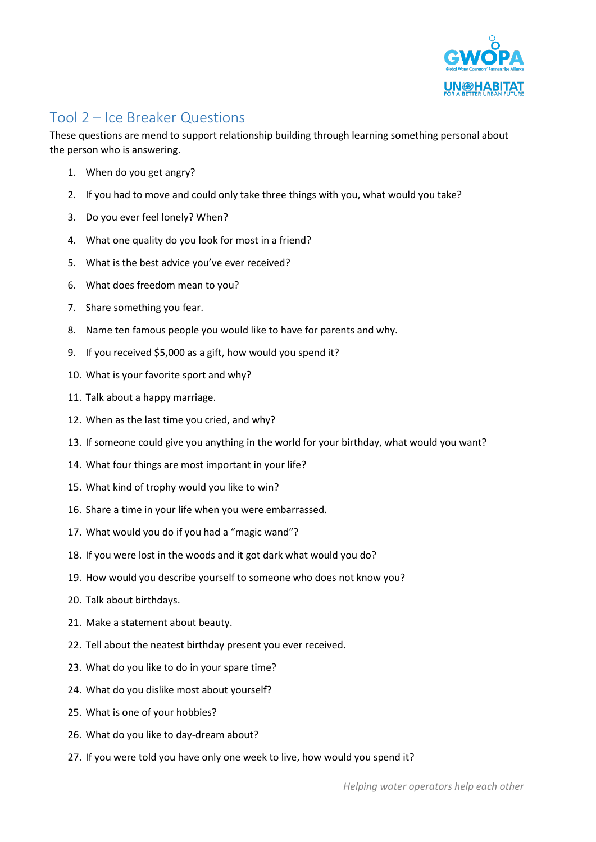

## Tool 2 – Ice Breaker Questions

These questions are mend to support relationship building through learning something personal about the person who is answering.

- 1. When do you get angry?
- 2. If you had to move and could only take three things with you, what would you take?
- 3. Do you ever feel lonely? When?
- 4. What one quality do you look for most in a friend?
- 5. What is the best advice you've ever received?
- 6. What does freedom mean to you?
- 7. Share something you fear.
- 8. Name ten famous people you would like to have for parents and why.
- 9. If you received \$5,000 as a gift, how would you spend it?
- 10. What is your favorite sport and why?
- 11. Talk about a happy marriage.
- 12. When as the last time you cried, and why?
- 13. If someone could give you anything in the world for your birthday, what would you want?
- 14. What four things are most important in your life?
- 15. What kind of trophy would you like to win?
- 16. Share a time in your life when you were embarrassed.
- 17. What would you do if you had a "magic wand"?
- 18. If you were lost in the woods and it got dark what would you do?
- 19. How would you describe yourself to someone who does not know you?
- 20. Talk about birthdays.
- 21. Make a statement about beauty.
- 22. Tell about the neatest birthday present you ever received.
- 23. What do you like to do in your spare time?
- 24. What do you dislike most about yourself?
- 25. What is one of your hobbies?
- 26. What do you like to day-dream about?
- 27. If you were told you have only one week to live, how would you spend it?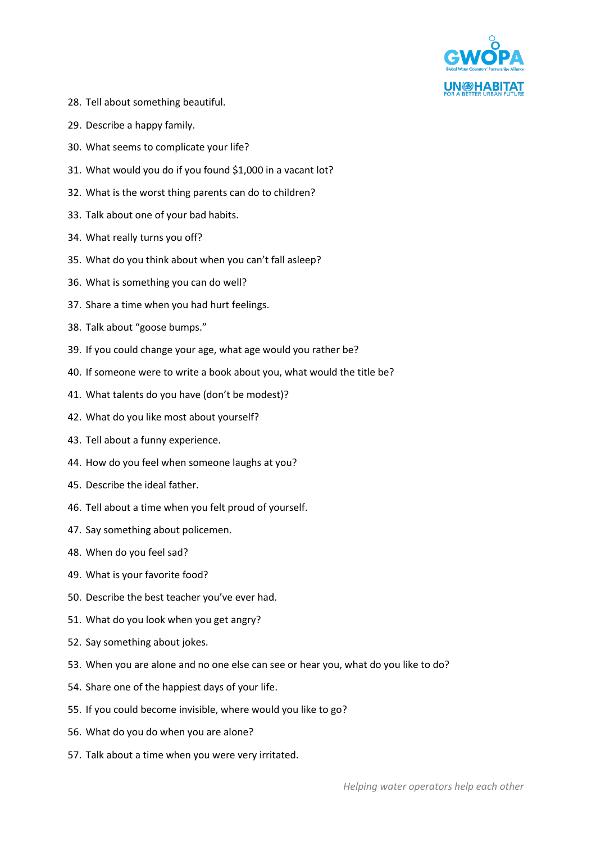

- 28. Tell about something beautiful.
- 29. Describe a happy family.
- 30. What seems to complicate your life?
- 31. What would you do if you found \$1,000 in a vacant lot?
- 32. What is the worst thing parents can do to children?
- 33. Talk about one of your bad habits.
- 34. What really turns you off?
- 35. What do you think about when you can't fall asleep?
- 36. What is something you can do well?
- 37. Share a time when you had hurt feelings.
- 38. Talk about "goose bumps."
- 39. If you could change your age, what age would you rather be?
- 40. If someone were to write a book about you, what would the title be?
- 41. What talents do you have (don't be modest)?
- 42. What do you like most about yourself?
- 43. Tell about a funny experience.
- 44. How do you feel when someone laughs at you?
- 45. Describe the ideal father.
- 46. Tell about a time when you felt proud of yourself.
- 47. Say something about policemen.
- 48. When do you feel sad?
- 49. What is your favorite food?
- 50. Describe the best teacher you've ever had.
- 51. What do you look when you get angry?
- 52. Say something about jokes.
- 53. When you are alone and no one else can see or hear you, what do you like to do?
- 54. Share one of the happiest days of your life.
- 55. If you could become invisible, where would you like to go?
- 56. What do you do when you are alone?
- 57. Talk about a time when you were very irritated.